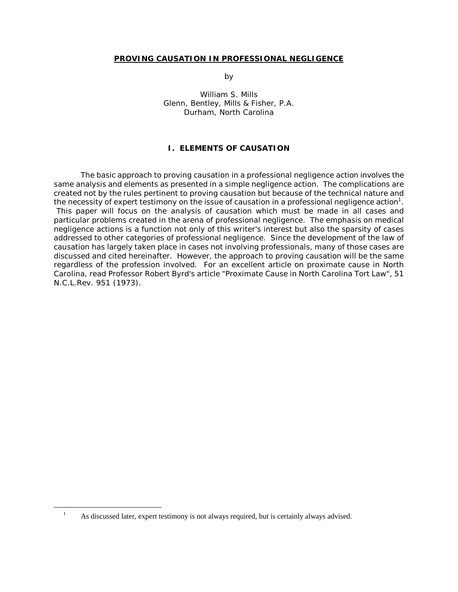#### **PROVING CAUSATION IN PROFESSIONAL NEGLIGENCE**

by the state of the state of the state of the state of the state of the state of the state of the state of the

 William S. Mills Glenn, Bentley, Mills & Fisher, P.A. Durham, North Carolina

### **I. ELEMENTS OF CAUSATION**

The basic approach to proving causation in a professional negligence action involves the same analysis and elements as presented in a simple negligence action. The complications are created not by the rules pertinent to proving causation but because of the technical nature and the necessity of expert testimony on the issue of causation in a professional negligence action<sup>1</sup>. This paper will focus on the analysis of causation which must be made in all cases and particular problems created in the arena of professional negligence. The emphasis on medical negligence actions is a function not only of this writer's interest but also the sparsity of cases addressed to other categories of professional negligence. Since the development of the law of causation has largely taken place in cases not involving professionals, many of those cases are discussed and cited hereinafter. However, the approach to proving causation will be the same regardless of the profession involved. For an excellent article on proximate cause in North Carolina, read Professor Robert Byrd's article "Proximate Cause in North Carolina Tort Law", 51 N.C.L.Rev. 951 (1973).

<sup>1</sup> As discussed later, expert testimony is not always required, but is certainly always advised.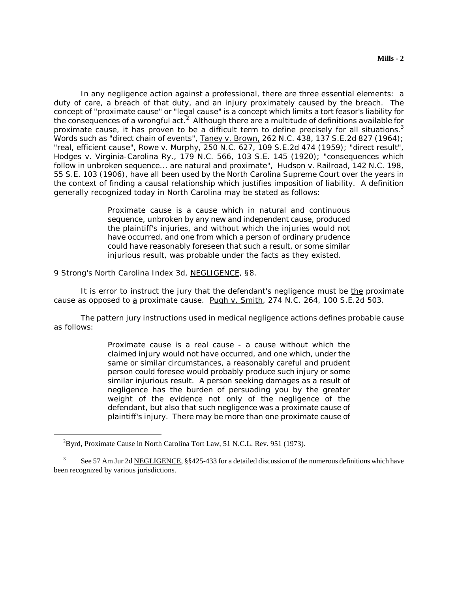In any negligence action against a professional, there are three essential elements: a duty of care, a breach of that duty, and an injury proximately caused by the breach. The concept of "proximate cause" or "legal cause" is a concept which limits a tort feasor's liability for the consequences of a wrongful act.<sup>2</sup> Although there are a multitude of definitions available for proximate cause, it has proven to be a difficult term to define precisely for all situations.<sup>3</sup> Words such as "direct chain of events", Taney v. Brown, 262 N.C. 438, 137 S.E.2d 827 (1964); "real, efficient cause", Rowe v. Murphy, 250 N.C. 627, 109 S.E.2d 474 (1959); "direct result", Hodges v. Virginia-Carolina Ry., 179 N.C. 566, 103 S.E. 145 (1920); "consequences which follow in unbroken sequence... are natural and proximate", Hudson v. Railroad, 142 N.C. 198, 55 S.E. 103 (1906), have all been used by the North Carolina Supreme Court over the years in the context of finding a causal relationship which justifies imposition of liability. A definition generally recognized today in North Carolina may be stated as follows:

> Proximate cause is a cause which in natural and continuous sequence, unbroken by any new and independent cause, produced the plaintiff's injuries, and without which the injuries would not have occurred, and one from which a person of ordinary prudence could have reasonably foreseen that such a result, or some similar injurious result, was probable under the facts as they existed.

9 Strong's North Carolina Index 3d, NEGLIGENCE, §8.

It is error to instruct the jury that the defendant's negligence must be the proximate cause as opposed to  $\underline{a}$  proximate cause. Pugh v. Smith, 274 N.C. 264, 100 S.E.2d 503.

The pattern jury instructions used in medical negligence actions defines probable cause as follows:

> Proximate cause is a real cause - a cause without which the claimed injury would not have occurred, and one which, under the same or similar circumstances, a reasonably careful and prudent person could foresee would probably produce such injury or some similar injurious result. A person seeking damages as a result of negligence has the burden of persuading you by the greater weight of the evidence not only of the negligence of the defendant, but also that such negligence was a proximate cause of plaintiff's injury. There may be more than one proximate cause of

<sup>&</sup>lt;sup>2</sup>Byrd, Proximate Cause in North Carolina Tort Law, 51 N.C.L. Rev. 951 (1973).

<sup>3</sup> See 57 Am Jur 2d NEGLIGENCE, §§425-433 for a detailed discussion of the numerous definitions which have been recognized by various jurisdictions.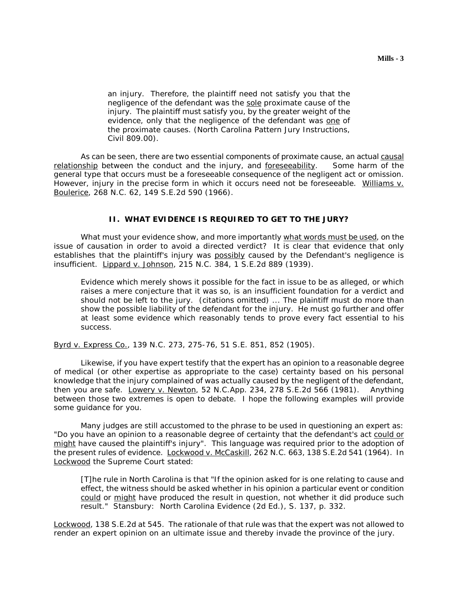an injury. Therefore, the plaintiff need not satisfy you that the negligence of the defendant was the sole proximate cause of the injury. The plaintiff must satisfy you, by the greater weight of the evidence, only that the negligence of the defendant was one of the proximate causes. (North Carolina Pattern Jury Instructions, Civil 809.00).

As can be seen, there are two essential components of proximate cause, an actual causal relationship between the conduct and the injury, and foreseeability. Some harm of the general type that occurs must be a foreseeable consequence of the negligent act or omission. However, injury in the precise form in which it occurs need not be foreseeable. Williams v. Boulerice, 268 N.C. 62, 149 S.E.2d 590 (1966).

# **II. WHAT EVIDENCE IS REQUIRED TO GET TO THE JURY?**

What must your evidence show, and more importantly what words must be used, on the issue of causation in order to avoid a directed verdict? It is clear that evidence that only establishes that the plaintiff's injury was possibly caused by the Defendant's negligence is insufficient. Lippard v. Johnson, 215 N.C. 384, 1 S.E.2d 889 (1939).

Evidence which merely shows it possible for the fact in issue to be as alleged, or which raises a mere conjecture that it was so, is an insufficient foundation for a verdict and should not be left to the jury. (citations omitted) ... The plaintiff must do more than show the possible liability of the defendant for the injury. He must go further and offer at least some evidence which reasonably tends to prove every fact essential to his success.

Byrd v. Express Co., 139 N.C. 273, 275-76, 51 S.E. 851, 852 (1905).

Likewise, if you have expert testify that the expert has an opinion to a reasonable degree of medical (or other expertise as appropriate to the case) certainty based on his personal knowledge that the injury complained of was actually caused by the negligent of the defendant, then you are safe. Lowery v. Newton, 52 N.C.App. 234, 278 S.E.2d 566 (1981). Anything between those two extremes is open to debate. I hope the following examples will provide some guidance for you.

Many judges are still accustomed to the phrase to be used in questioning an expert as: "Do you have an opinion to a reasonable degree of certainty that the defendant's act could or might have caused the plaintiff's injury". This language was required prior to the adoption of the present rules of evidence. Lockwood v. McCaskill, 262 N.C. 663, 138 S.E.2d 541 (1964). In Lockwood the Supreme Court stated:

[T]he rule in North Carolina is that "If the opinion asked for is one relating to cause and effect, the witness should be asked whether in his opinion a particular event or condition could or might have produced the result in question, not whether it did produce such result." Stansbury: North Carolina Evidence (2d Ed.), S. 137, p. 332.

Lockwood, 138 S.E.2d at 545. The rationale of that rule was that the expert was not allowed to render an expert opinion on an ultimate issue and thereby invade the province of the jury.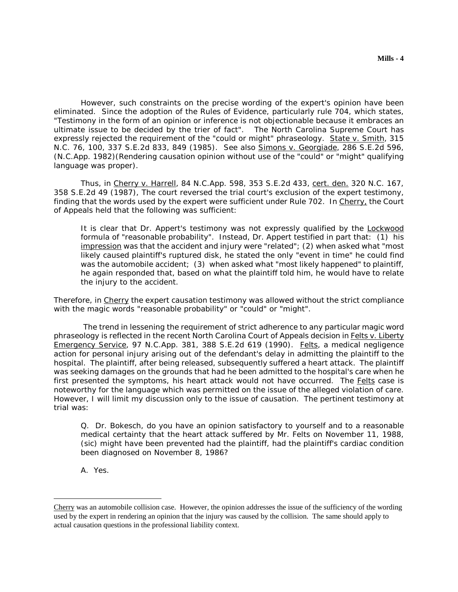However, such constraints on the precise wording of the expert's opinion have been eliminated. Since the adoption of the Rules of Evidence, particularly rule 704, which states, "Testimony in the form of an opinion or inference is not objectionable because it embraces an ultimate issue to be decided by the trier of fact". The North Carolina Supreme Court has expressly rejected the requirement of the "could or might" phraseology. State v. Smith, 315 N.C. 76, 100, 337 S.E.2d 833, 849 (1985). See also Simons v. Georgiade, 286 S.E.2d 596, (N.C.App. 1982)(Rendering causation opinion without use of the "could" or "might" qualifying language was proper).

Thus, in Cherry v. Harrell, 84 N.C.App. 598, 353 S.E.2d 433, cert. den. 320 N.C. 167, 358 S.E.2d 49 (1987), The court reversed the trial court's exclusion of the expert testimony, finding that the words used by the expert were sufficient under Rule 702. In Cherry, the Court of Appeals held that the following was sufficient:

It is clear that Dr. Appert's testimony was not expressly qualified by the Lockwood formula of "reasonable probability". Instead, Dr. Appert testified in part that: (1) his impression was that the accident and injury were "related"; (2) when asked what "most likely caused plaintiff's ruptured disk, he stated the only "event in time" he could find was the automobile accident; (3) when asked what "most likely happened" to plaintiff, he again responded that, based on what the plaintiff told him, he would have to relate the injury to the accident.

Therefore, in Cherry the expert causation testimony was allowed without the strict compliance with the magic words "reasonable probability" or "could" or "might".

 The trend in lessening the requirement of strict adherence to any particular magic word phraseology is reflected in the recent North Carolina Court of Appeals decision in Felts v. Liberty Emergency Service, 97 N.C.App. 381, 388 S.E.2d 619 (1990). Felts, a medical negligence action for personal injury arising out of the defendant's delay in admitting the plaintiff to the hospital. The plaintiff, after being released, subsequently suffered a heart attack. The plaintiff was seeking damages on the grounds that had he been admitted to the hospital's care when he first presented the symptoms, his heart attack would not have occurred. The Felts case is noteworthy for the language which was permitted on the issue of the alleged violation of care. However, I will limit my discussion only to the issue of causation. The pertinent testimony at trial was:

Q. Dr. Bokesch, do you have an opinion satisfactory to yourself and to a reasonable medical certainty that the heart attack suffered by Mr. Felts on November 11, 1988, (sic) might have been prevented had the plaintiff, had the plaintiff's cardiac condition been diagnosed on November 8, 1986?

A. Yes.

Cherry was an automobile collision case. However, the opinion addresses the issue of the sufficiency of the wording used by the expert in rendering an opinion that the injury was caused by the collision. The same should apply to actual causation questions in the professional liability context.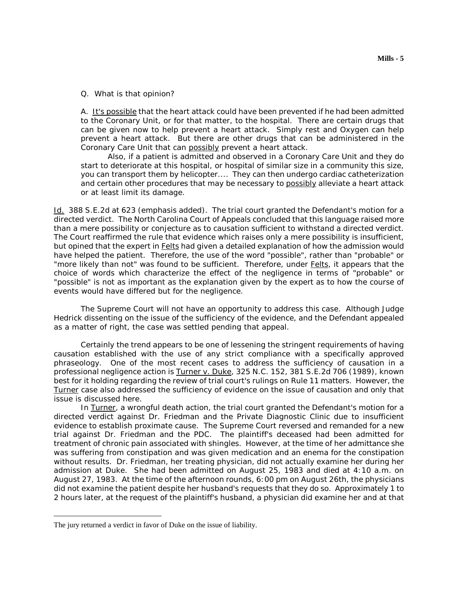#### Q. What is that opinion?

A. It's possible that the heart attack could have been prevented if he had been admitted to the Coronary Unit, or for that matter, to the hospital. There are certain drugs that can be given now to help prevent a heart attack. Simply rest and Oxygen can help prevent a heart attack. But there are other drugs that can be administered in the Coronary Care Unit that can possibly prevent a heart attack.

Also, if a patient is admitted and observed in a Coronary Care Unit and they do start to deteriorate at this hospital, or hospital of similar size in a community this size, you can transport them by helicopter.... They can then undergo cardiac catheterization and certain other procedures that may be necessary to possibly alleviate a heart attack or at least limit its damage.

Id. 388 S.E.2d at 623 (emphasis added). The trial court granted the Defendant's motion for a directed verdict. The North Carolina Court of Appeals concluded that this language raised more than a mere possibility or conjecture as to causation sufficient to withstand a directed verdict. The Court reaffirmed the rule that evidence which raises only a mere possibility is insufficient, but opined that the expert in Felts had given a detailed explanation of how the admission would have helped the patient. Therefore, the use of the word "possible", rather than "probable" or "more likely than not" was found to be sufficient. Therefore, under Felts, it appears that the choice of words which characterize the effect of the negligence in terms of "probable" or "possible" is not as important as the explanation given by the expert as to how the course of events would have differed but for the negligence.

The Supreme Court will not have an opportunity to address this case. Although Judge Hedrick dissenting on the issue of the sufficiency of the evidence, and the Defendant appealed as a matter of right, the case was settled pending that appeal.

Certainly the trend appears to be one of lessening the stringent requirements of having causation established with the use of any strict compliance with a specifically approved phraseology. One of the most recent cases to address the sufficiency of causation in a professional negligence action is Turner v. Duke, 325 N.C. 152, 381 S.E.2d 706 (1989), known best for it holding regarding the review of trial court's rulings on Rule 11 matters. However, the Turner case also addressed the sufficiency of evidence on the issue of causation and only that issue is discussed here.

In Turner, a wrongful death action, the trial court granted the Defendant's motion for a directed verdict against Dr. Friedman and the Private Diagnostic Clinic due to insufficient evidence to establish proximate cause. The Supreme Court reversed and remanded for a new trial against Dr. Friedman and the PDC. The plaintiff's deceased had been admitted for treatment of chronic pain associated with shingles. However, at the time of her admittance she was suffering from constipation and was given medication and an enema for the constipation without results. Dr. Friedman, her treating physician, did not actually examine her during her admission at Duke. She had been admitted on August 25, 1983 and died at 4:10 a.m. on August 27, 1983. At the time of the afternoon rounds, 6:00 pm on August 26th, the physicians did not examine the patient despite her husband's requests that they do so. Approximately 1 to 2 hours later, at the request of the plaintiff's husband, a physician did examine her and at that

The jury returned a verdict in favor of Duke on the issue of liability.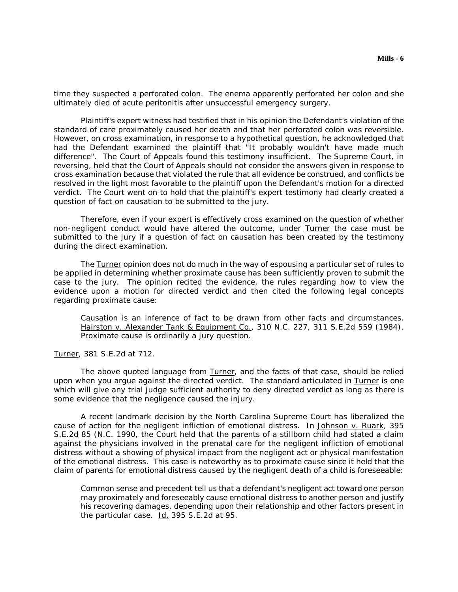time they suspected a perforated colon. The enema apparently perforated her colon and she ultimately died of acute peritonitis after unsuccessful emergency surgery.

Plaintiff's expert witness had testified that in his opinion the Defendant's violation of the standard of care proximately caused her death and that her perforated colon was reversible. However, on cross examination, in response to a hypothetical question, he acknowledged that had the Defendant examined the plaintiff that "It probably wouldn't have made much difference". The Court of Appeals found this testimony insufficient. The Supreme Court, in reversing, held that the Court of Appeals should not consider the answers given in response to cross examination because that violated the rule that all evidence be construed, and conflicts be resolved in the light most favorable to the plaintiff upon the Defendant's motion for a directed verdict. The Court went on to hold that the plaintiff's expert testimony had clearly created a question of fact on causation to be submitted to the jury.

Therefore, even if your expert is effectively cross examined on the question of whether non-negligent conduct would have altered the outcome, under Turner the case must be submitted to the jury if a question of fact on causation has been created by the testimony during the direct examination.

The Turner opinion does not do much in the way of espousing a particular set of rules to be applied in determining whether proximate cause has been sufficiently proven to submit the case to the jury. The opinion recited the evidence, the rules regarding how to view the evidence upon a motion for directed verdict and then cited the following legal concepts regarding proximate cause:

Causation is an inference of fact to be drawn from other facts and circumstances. Hairston v. Alexander Tank & Equipment Co., 310 N.C. 227, 311 S.E.2d 559 (1984). Proximate cause is ordinarily a jury question.

Turner, 381 S.E.2d at 712.

The above quoted language from Turner, and the facts of that case, should be relied upon when you argue against the directed verdict. The standard articulated in Turner is one which will give any trial judge sufficient authority to deny directed verdict as long as there is some evidence that the negligence caused the injury.

A recent landmark decision by the North Carolina Supreme Court has liberalized the cause of action for the negligent infliction of emotional distress. In Johnson v. Ruark, 395 S.E.2d 85 (N.C. 1990, the Court held that the parents of a stillborn child had stated a claim against the physicians involved in the prenatal care for the negligent infliction of emotional distress without a showing of physical impact from the negligent act or physical manifestation of the emotional distress. This case is noteworthy as to proximate cause since it held that the claim of parents for emotional distress caused by the negligent death of a child is foreseeable:

Common sense and precedent tell us that a defendant's negligent act toward one person may proximately and foreseeably cause emotional distress to another person and justify his recovering damages, depending upon their relationship and other factors present in the particular case. Id. 395 S.E.2d at 95.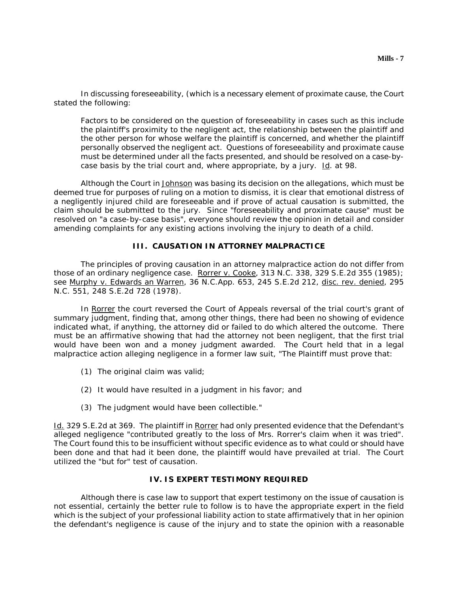In discussing foreseeability, (which is a necessary element of proximate cause, the Court stated the following:

Factors to be considered on the question of foreseeability in cases such as this include the plaintiff's proximity to the negligent act, the relationship between the plaintiff and the other person for whose welfare the plaintiff is concerned, and whether the plaintiff personally observed the negligent act. Questions of foreseeability and proximate cause must be determined under all the facts presented, and should be resolved on a case-bycase basis by the trial court and, where appropriate, by a jury. Id. at 98.

Although the Court in Johnson was basing its decision on the allegations, which must be deemed true for purposes of ruling on a motion to dismiss, it is clear that emotional distress of a negligently injured child are foreseeable and if prove of actual causation is submitted, the claim should be submitted to the jury. Since "foreseeability and proximate cause" must be resolved on "a case-by-case basis", everyone should review the opinion in detail and consider amending complaints for any existing actions involving the injury to death of a child.

# **III. CAUSATION IN ATTORNEY MALPRACTICE**

The principles of proving causation in an attorney malpractice action do not differ from those of an ordinary negligence case. Rorrer v. Cooke, 313 N.C. 338, 329 S.E.2d 355 (1985); see Murphy v. Edwards an Warren, 36 N.C.App. 653, 245 S.E.2d 212, disc. rev. denied, 295 N.C. 551, 248 S.E.2d 728 (1978).

In Rorrer the court reversed the Court of Appeals reversal of the trial court's grant of summary judgment, finding that, among other things, there had been no showing of evidence indicated what, if anything, the attorney did or failed to do which altered the outcome. There must be an affirmative showing that had the attorney not been negligent, that the first trial would have been won and a money judgment awarded. The Court held that in a legal malpractice action alleging negligence in a former law suit, "The Plaintiff must prove that:

- (1) The original claim was valid;
- (2) It would have resulted in a judgment in his favor; and
- (3) The judgment would have been collectible."

Id. 329 S.E.2d at 369. The plaintiff in Rorrer had only presented evidence that the Defendant's alleged negligence "contributed greatly to the loss of Mrs. Rorrer's claim when it was tried". The Court found this to be insufficient without specific evidence as to what could or should have been done and that had it been done, the plaintiff would have prevailed at trial. The Court utilized the "but for" test of causation.

# **IV. IS EXPERT TESTIMONY REQUIRED**

Although there is case law to support that expert testimony on the issue of causation is not essential, certainly the better rule to follow is to have the appropriate expert in the field which is the subject of your professional liability action to state affirmatively that in her opinion the defendant's negligence is cause of the injury and to state the opinion with a reasonable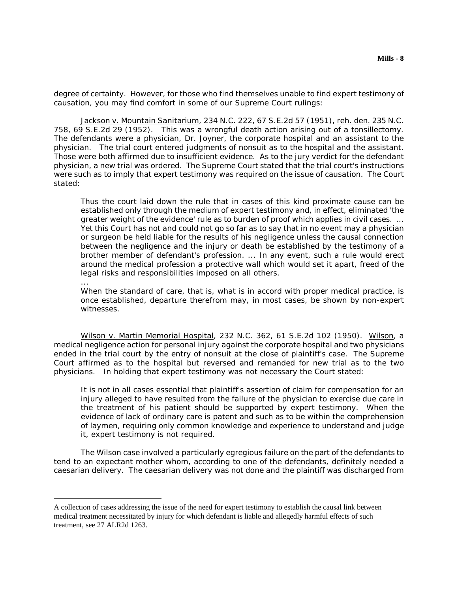degree of certainty. However, for those who find themselves unable to find expert testimony of causation, you may find comfort in some of our Supreme Court rulings:

Jackson v. Mountain Sanitarium, 234 N.C. 222, 67 S.E.2d 57 (1951), reh. den. 235 N.C. 758, 69 S.E.2d 29 (1952). This was a wrongful death action arising out of a tonsillectomy. The defendants were a physician, Dr. Joyner, the corporate hospital and an assistant to the physician. The trial court entered judgments of nonsuit as to the hospital and the assistant. Those were both affirmed due to insufficient evidence. As to the jury verdict for the defendant physician, a new trial was ordered. The Supreme Court stated that the trial court's instructions were such as to imply that expert testimony was required on the issue of causation. The Court stated:

Thus the court laid down the rule that in cases of this kind proximate cause can be established only through the medium of expert testimony and, in effect, eliminated 'the greater weight of the evidence' rule as to burden of proof which applies in civil cases. ... Yet this Court has not and could not go so far as to say that in no event may a physician or surgeon be held liable for the results of his negligence unless the causal connection between the negligence and the injury or death be established by the testimony of a brother member of defendant's profession. ... In any event, such a rule would erect around the medical profession a protective wall which would set it apart, freed of the legal risks and responsibilities imposed on all others.

When the standard of care, that is, what is in accord with proper medical practice, is once established, departure therefrom may, in most cases, be shown by non-expert witnesses.

Wilson v. Martin Memorial Hospital, 232 N.C. 362, 61 S.E.2d 102 (1950). Wilson, a medical negligence action for personal injury against the corporate hospital and two physicians ended in the trial court by the entry of nonsuit at the close of plaintiff's case. The Supreme Court affirmed as to the hospital but reversed and remanded for new trial as to the two physicians. In holding that expert testimony was not necessary the Court stated:

...

 $\overline{a}$ 

It is not in all cases essential that plaintiff's assertion of claim for compensation for an injury alleged to have resulted from the failure of the physician to exercise due care in the treatment of his patient should be supported by expert testimony. When the evidence of lack of ordinary care is patent and such as to be within the comprehension of laymen, requiring only common knowledge and experience to understand and judge it, expert testimony is not required.

The Wilson case involved a particularly egregious failure on the part of the defendants to tend to an expectant mother whom, according to one of the defendants, definitely needed a caesarian delivery. The caesarian delivery was not done and the plaintiff was discharged from

A collection of cases addressing the issue of the need for expert testimony to establish the causal link between medical treatment necessitated by injury for which defendant is liable and allegedly harmful effects of such treatment, see 27 ALR2d 1263.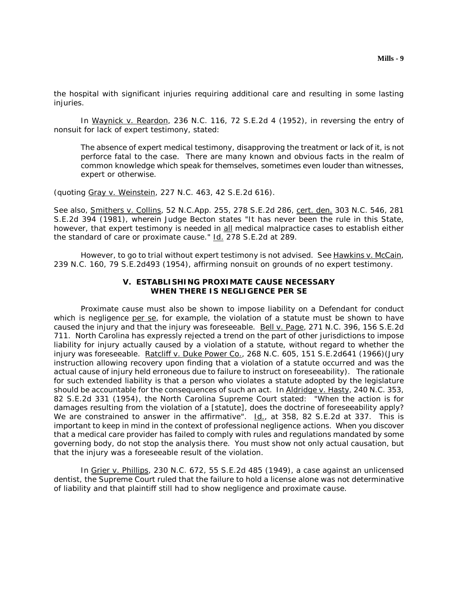the hospital with significant injuries requiring additional care and resulting in some lasting injuries.

In Waynick v. Reardon, 236 N.C. 116, 72 S.E.2d 4 (1952), in reversing the entry of nonsuit for lack of expert testimony, stated:

The absence of expert medical testimony, disapproving the treatment or lack of it, is not perforce fatal to the case. There are many known and obvious facts in the realm of common knowledge which speak for themselves, sometimes even louder than witnesses, expert or otherwise.

(quoting Gray v. Weinstein, 227 N.C. 463, 42 S.E.2d 616).

See also, Smithers v. Collins, 52 N.C.App. 255, 278 S.E.2d 286, cert. den. 303 N.C. 546, 281 S.E.2d 394 (1981), wherein Judge Becton states "It has never been the rule in this State, however, that expert testimony is needed in all medical malpractice cases to establish either the standard of care or proximate cause." Id. 278 S.E.2d at 289.

However, to go to trial without expert testimony is not advised. See Hawkins v. McCain, 239 N.C. 160, 79 S.E.2d493 (1954), affirming nonsuit on grounds of no expert testimony.

### **V. ESTABLISHING PROXIMATE CAUSE NECESSARY WHEN THERE IS NEGLIGENCE PER SE**

Proximate cause must also be shown to impose liability on a Defendant for conduct which is negligence per se, for example, the violation of a statute must be shown to have caused the injury and that the injury was foreseeable. Bell v. Page, 271 N.C. 396, 156 S.E.2d 711. North Carolina has expressly rejected a trend on the part of other jurisdictions to impose liability for injury actually caused by a violation of a statute, without regard to whether the injury was foreseeable. Ratcliff v. Duke Power Co., 268 N.C. 605, 151 S.E.2d641 (1966)(Jury instruction allowing recovery upon finding that a violation of a statute occurred and was the actual cause of injury held erroneous due to failure to instruct on foreseeability). The rationale for such extended liability is that a person who violates a statute adopted by the legislature should be accountable for the consequences of such an act. In Aldridge v. Hasty, 240 N.C. 353, 82 S.E.2d 331 (1954), the North Carolina Supreme Court stated: "When the action is for damages resulting from the violation of a [statute], does the doctrine of foreseeability apply? We are constrained to answer in the affirmative". Id., at 358, 82 S.E.2d at 337. This is important to keep in mind in the context of professional negligence actions. When you discover that a medical care provider has failed to comply with rules and regulations mandated by some governing body, do not stop the analysis there. You must show not only actual causation, but that the injury was a foreseeable result of the violation.

In Grier v. Phillips, 230 N.C. 672, 55 S.E.2d 485 (1949), a case against an unlicensed dentist, the Supreme Court ruled that the failure to hold a license alone was not determinative of liability and that plaintiff still had to show negligence and proximate cause.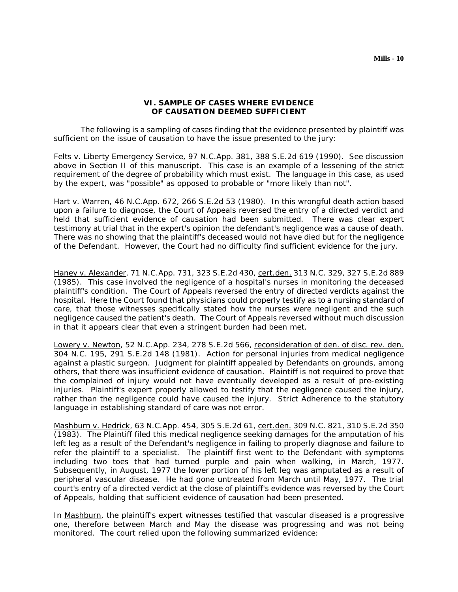## **VI. SAMPLE OF CASES WHERE EVIDENCE OF CAUSATION DEEMED SUFFICIENT**

The following is a sampling of cases finding that the evidence presented by plaintiff was sufficient on the issue of causation to have the issue presented to the jury:

Felts v. Liberty Emergency Service, 97 N.C.App. 381, 388 S.E.2d 619 (1990). See discussion above in Section II of this manuscript. This case is an example of a lessening of the strict requirement of the degree of probability which must exist. The language in this case, as used by the expert, was "possible" as opposed to probable or "more likely than not".

Hart v. Warren, 46 N.C.App. 672, 266 S.E.2d 53 (1980). In this wrongful death action based upon a failure to diagnose, the Court of Appeals reversed the entry of a directed verdict and held that sufficient evidence of causation had been submitted. There was clear expert testimony at trial that in the expert's opinion the defendant's negligence was a cause of death. There was no showing that the plaintiff's deceased would not have died but for the negligence of the Defendant. However, the Court had no difficulty find sufficient evidence for the jury.

Haney v. Alexander, 71 N.C.App. 731, 323 S.E.2d 430, cert.den. 313 N.C. 329, 327 S.E.2d 889 (1985). This case involved the negligence of a hospital's nurses in monitoring the deceased plaintiff's condition. The Court of Appeals reversed the entry of directed verdicts against the hospital. Here the Court found that physicians could properly testify as to a nursing standard of care, that those witnesses specifically stated how the nurses were negligent and the such negligence caused the patient's death. The Court of Appeals reversed without much discussion in that it appears clear that even a stringent burden had been met.

Lowery v. Newton, 52 N.C.App. 234, 278 S.E.2d 566, reconsideration of den. of disc. rev. den. 304 N.C. 195, 291 S.E.2d 148 (1981). Action for personal injuries from medical negligence against a plastic surgeon. Judgment for plaintiff appealed by Defendants on grounds, among others, that there was insufficient evidence of causation. Plaintiff is not required to prove that the complained of injury would not have eventually developed as a result of pre-existing injuries. Plaintiff's expert properly allowed to testify that the negligence caused the injury, rather than the negligence could have caused the injury. Strict Adherence to the statutory language in establishing standard of care was not error.

Mashburn v. Hedrick, 63 N.C.App. 454, 305 S.E.2d 61, cert.den. 309 N.C. 821, 310 S.E.2d 350 (1983). The Plaintiff filed this medical negligence seeking damages for the amputation of his left leg as a result of the Defendant's negligence in failing to properly diagnose and failure to refer the plaintiff to a specialist. The plaintiff first went to the Defendant with symptoms including two toes that had turned purple and pain when walking, in March, 1977. Subsequently, in August, 1977 the lower portion of his left leg was amputated as a result of peripheral vascular disease. He had gone untreated from March until May, 1977. The trial court's entry of a directed verdict at the close of plaintiff's evidence was reversed by the Court of Appeals, holding that sufficient evidence of causation had been presented.

In Mashburn, the plaintiff's expert witnesses testified that vascular diseased is a progressive one, therefore between March and May the disease was progressing and was not being monitored. The court relied upon the following summarized evidence: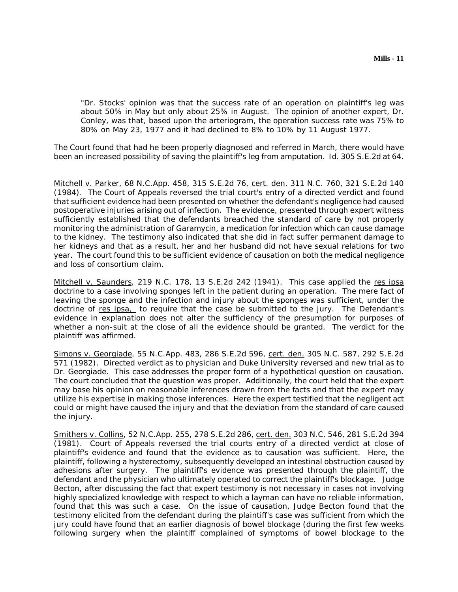"Dr. Stocks' opinion was that the success rate of an operation on plaintiff's leg was about 50% in May but only about 25% in August. The opinion of another expert, Dr. Conley, was that, based upon the arteriogram, the operation success rate was 75% to 80% on May 23, 1977 and it had declined to 8% to 10% by 11 August 1977.

The Court found that had he been properly diagnosed and referred in March, there would have been an increased possibility of saving the plaintiff's leg from amputation. Id. 305 S.E.2d at 64.

Mitchell v. Parker, 68 N.C.App. 458, 315 S.E.2d 76, cert. den. 311 N.C. 760, 321 S.E.2d 140 (1984). The Court of Appeals reversed the trial court's entry of a directed verdict and found that sufficient evidence had been presented on whether the defendant's negligence had caused postoperative injuries arising out of infection. The evidence, presented through expert witness sufficiently established that the defendants breached the standard of care by not properly monitoring the administration of Garamycin, a medication for infection which can cause damage to the kidney. The testimony also indicated that she did in fact suffer permanent damage to her kidneys and that as a result, her and her husband did not have sexual relations for two year. The court found this to be sufficient evidence of causation on both the medical negligence and loss of consortium claim.

Mitchell v. Saunders, 219 N.C. 178, 13 S.E.2d 242 (1941). This case applied the res ipsa doctrine to a case involving sponges left in the patient during an operation. The mere fact of leaving the sponge and the infection and injury about the sponges was sufficient, under the doctrine of res ipsa, to require that the case be submitted to the jury. The Defendant's evidence in explanation does not alter the sufficiency of the presumption for purposes of whether a non-suit at the close of all the evidence should be granted. The verdict for the plaintiff was affirmed.

Simons v. Georgiade, 55 N.C.App. 483, 286 S.E.2d 596, cert. den. 305 N.C. 587, 292 S.E.2d 571 (1982). Directed verdict as to physician and Duke University reversed and new trial as to Dr. Georgiade. This case addresses the proper form of a hypothetical question on causation. The court concluded that the question was proper. Additionally, the court held that the expert may base his opinion on reasonable inferences drawn from the facts and that the expert may utilize his expertise in making those inferences. Here the expert testified that the negligent act could or might have caused the injury and that the deviation from the standard of care caused the injury.

Smithers v. Collins, 52 N.C.App. 255, 278 S.E.2d 286, cert. den. 303 N.C. 546, 281 S.E.2d 394 (1981). Court of Appeals reversed the trial courts entry of a directed verdict at close of plaintiff's evidence and found that the evidence as to causation was sufficient. Here, the plaintiff, following a hysterectomy, subsequently developed an intestinal obstruction caused by adhesions after surgery. The plaintiff's evidence was presented through the plaintiff, the defendant and the physician who ultimately operated to correct the plaintiff's blockage. Judge Becton, after discussing the fact that expert testimony is not necessary in cases not involving highly specialized knowledge with respect to which a layman can have no reliable information, found that this was such a case. On the issue of causation, Judge Becton found that the testimony elicited from the defendant during the plaintiff's case was sufficient from which the jury could have found that an earlier diagnosis of bowel blockage (during the first few weeks following surgery when the plaintiff complained of symptoms of bowel blockage to the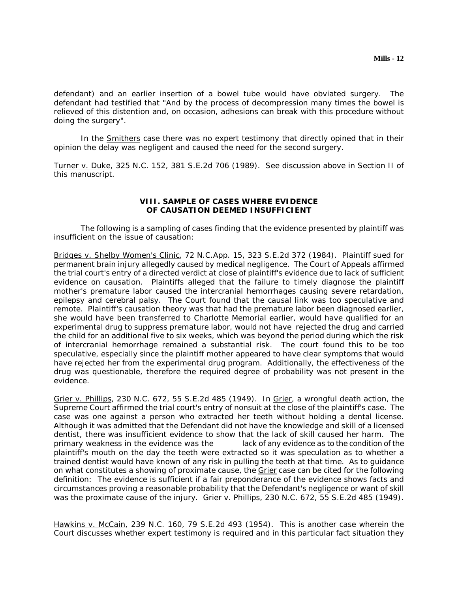defendant) and an earlier insertion of a bowel tube would have obviated surgery. The defendant had testified that "And by the process of decompression many times the bowel is relieved of this distention and, on occasion, adhesions can break with this procedure without doing the surgery".

In the **Smithers** case there was no expert testimony that directly opined that in their opinion the delay was negligent and caused the need for the second surgery.

Turner v. Duke, 325 N.C. 152, 381 S.E.2d 706 (1989). See discussion above in Section II of this manuscript.

## **VIII. SAMPLE OF CASES WHERE EVIDENCE OF CAUSATION DEEMED INSUFFICIENT**

The following is a sampling of cases finding that the evidence presented by plaintiff was insufficient on the issue of causation:

Bridges v. Shelby Women's Clinic, 72 N.C.App. 15, 323 S.E.2d 372 (1984). Plaintiff sued for permanent brain injury allegedly caused by medical negligence. The Court of Appeals affirmed the trial court's entry of a directed verdict at close of plaintiff's evidence due to lack of sufficient evidence on causation. Plaintiffs alleged that the failure to timely diagnose the plaintiff mother's premature labor caused the intercranial hemorrhages causing severe retardation, epilepsy and cerebral palsy. The Court found that the causal link was too speculative and remote. Plaintiff's causation theory was that had the premature labor been diagnosed earlier, she would have been transferred to Charlotte Memorial earlier, would have qualified for an experimental drug to suppress premature labor, would not have rejected the drug and carried the child for an additional five to six weeks, which was beyond the period during which the risk of intercranial hemorrhage remained a substantial risk. The court found this to be too speculative, especially since the plaintiff mother appeared to have clear symptoms that would have rejected her from the experimental drug program. Additionally, the effectiveness of the drug was questionable, therefore the required degree of probability was not present in the evidence.

Grier v. Phillips, 230 N.C. 672, 55 S.E.2d 485 (1949). In Grier, a wrongful death action, the Supreme Court affirmed the trial court's entry of nonsuit at the close of the plaintiff's case. The case was one against a person who extracted her teeth without holding a dental license. Although it was admitted that the Defendant did not have the knowledge and skill of a licensed dentist, there was insufficient evidence to show that the lack of skill caused her harm. The primary weakness in the evidence was the lack of any evidence as to the condition of the plaintiff's mouth on the day the teeth were extracted so it was speculation as to whether a trained dentist would have known of any risk in pulling the teeth at that time. As to guidance on what constitutes a showing of proximate cause, the Grier case can be cited for the following definition: The evidence is sufficient if a fair preponderance of the evidence shows facts and circumstances proving a reasonable probability that the Defendant's negligence or want of skill was the proximate cause of the injury. Grier v. Phillips, 230 N.C. 672, 55 S.E.2d 485 (1949).

Hawkins v. McCain, 239 N.C. 160, 79 S.E.2d 493 (1954). This is another case wherein the Court discusses whether expert testimony is required and in this particular fact situation they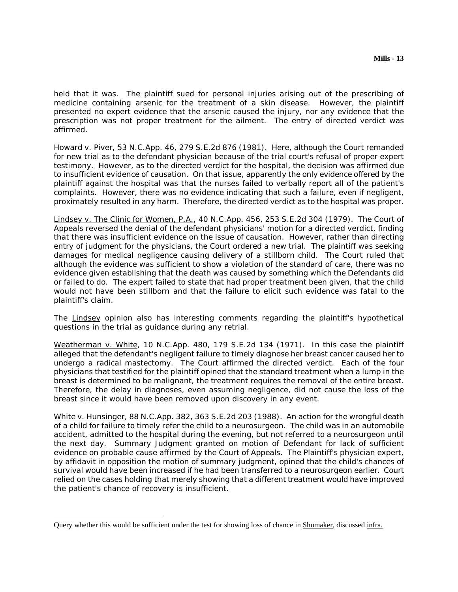held that it was. The plaintiff sued for personal injuries arising out of the prescribing of medicine containing arsenic for the treatment of a skin disease. However, the plaintiff presented no expert evidence that the arsenic caused the injury, nor any evidence that the prescription was not proper treatment for the ailment. The entry of directed verdict was affirmed.

Howard v. Piver, 53 N.C.App. 46, 279 S.E.2d 876 (1981). Here, although the Court remanded for new trial as to the defendant physician because of the trial court's refusal of proper expert testimony. However, as to the directed verdict for the hospital, the decision was affirmed due to insufficient evidence of causation. On that issue, apparently the only evidence offered by the plaintiff against the hospital was that the nurses failed to verbally report all of the patient's complaints. However, there was no evidence indicating that such a failure, even if negligent, proximately resulted in any harm. Therefore, the directed verdict as to the hospital was proper.

Lindsey v. The Clinic for Women, P.A., 40 N.C.App. 456, 253 S.E.2d 304 (1979). The Court of Appeals reversed the denial of the defendant physicians' motion for a directed verdict, finding that there was insufficient evidence on the issue of causation. However, rather than directing entry of judgment for the physicians, the Court ordered a new trial. The plaintiff was seeking damages for medical negligence causing delivery of a stillborn child. The Court ruled that although the evidence was sufficient to show a violation of the standard of care, there was no evidence given establishing that the death was caused by something which the Defendants did or failed to do. The expert failed to state that had proper treatment been given, that the child would not have been stillborn and that the failure to elicit such evidence was fatal to the plaintiff's claim.

The Lindsey opinion also has interesting comments regarding the plaintiff's hypothetical questions in the trial as guidance during any retrial.

Weatherman v. White, 10 N.C.App. 480, 179 S.E.2d 134 (1971). In this case the plaintiff alleged that the defendant's negligent failure to timely diagnose her breast cancer caused her to undergo a radical mastectomy. The Court affirmed the directed verdict. Each of the four physicians that testified for the plaintiff opined that the standard treatment when a lump in the breast is determined to be malignant, the treatment requires the removal of the entire breast. Therefore, the delay in diagnoses, even assuming negligence, did not cause the loss of the breast since it would have been removed upon discovery in any event.

White v. Hunsinger, 88 N.C.App. 382, 363 S.E.2d 203 (1988). An action for the wrongful death of a child for failure to timely refer the child to a neurosurgeon. The child was in an automobile accident, admitted to the hospital during the evening, but not referred to a neurosurgeon until the next day. Summary Judgment granted on motion of Defendant for lack of sufficient evidence on probable cause affirmed by the Court of Appeals. The Plaintiff's physician expert, by affidavit in opposition the motion of summary judgment, opined that the child's chances of survival would have been increased if he had been transferred to a neurosurgeon earlier. Court relied on the cases holding that merely showing that a different treatment would have improved the patient's chance of recovery is insufficient.

Query whether this would be sufficient under the test for showing loss of chance in Shumaker, discussed infra.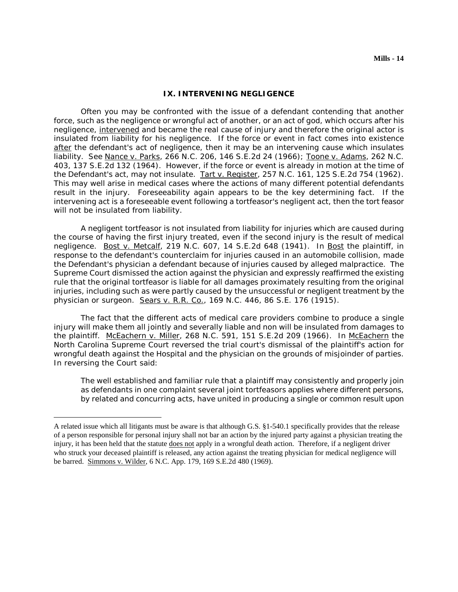#### **IX. INTERVENING NEGLIGENCE**

Often you may be confronted with the issue of a defendant contending that another force, such as the negligence or wrongful act of another, or an act of god, which occurs after his negligence, intervened and became the real cause of injury and therefore the original actor is insulated from liability for his negligence. If the force or event in fact comes into existence after the defendant's act of negligence, then it may be an intervening cause which insulates liability. See Nance v. Parks, 266 N.C. 206, 146 S.E.2d 24 (1966); Toone v. Adams, 262 N.C. 403, 137 S.E.2d 132 (1964). However, if the force or event is already in motion at the time of the Defendant's act, may not insulate. Tart v. Register, 257 N.C. 161, 125 S.E.2d 754 (1962). This may well arise in medical cases where the actions of many different potential defendants result in the injury. Foreseeability again appears to be the key determining fact. If the intervening act is a foreseeable event following a tortfeasor's negligent act, then the tort feasor will not be insulated from liability.

A negligent tortfeasor is not insulated from liability for injuries which are caused during the course of having the first injury treated, even if the second injury is the result of medical negligence. Bost v. Metcalf, 219 N.C. 607, 14 S.E.2d 648 (1941). In Bost the plaintiff, in response to the defendant's counterclaim for injuries caused in an automobile collision, made the Defendant's physician a defendant because of injuries caused by alleged malpractice. The Supreme Court dismissed the action against the physician and expressly reaffirmed the existing rule that the original tortfeasor is liable for all damages proximately resulting from the original injuries, including such as were partly caused by the unsuccessful or negligent treatment by the physician or surgeon. Sears v. R.R. Co., 169 N.C. 446, 86 S.E. 176 (1915).

The fact that the different acts of medical care providers combine to produce a single injury will make them all jointly and severally liable and non will be insulated from damages to the plaintiff. McEachern v. Miller, 268 N.C. 591, 151 S.E.2d 209 (1966). In McEachern the North Carolina Supreme Court reversed the trial court's dismissal of the plaintiff's action for wrongful death against the Hospital and the physician on the grounds of misjoinder of parties. In reversing the Court said:

The well established and familiar rule that a plaintiff may consistently and properly join as defendants in one complaint several joint tortfeasors applies where different persons, by related and concurring acts, have united in producing a single or common result upon

A related issue which all litigants must be aware is that although G.S. §1-540.1 specifically provides that the release of a person responsible for personal injury shall not bar an action by the injured party against a physician treating the injury, it has been held that the statute does not apply in a wrongful death action. Therefore, if a negligent driver who struck your deceased plaintiff is released, any action against the treating physician for medical negligence will be barred. Simmons v. Wilder, 6 N.C. App. 179, 169 S.E.2d 480 (1969).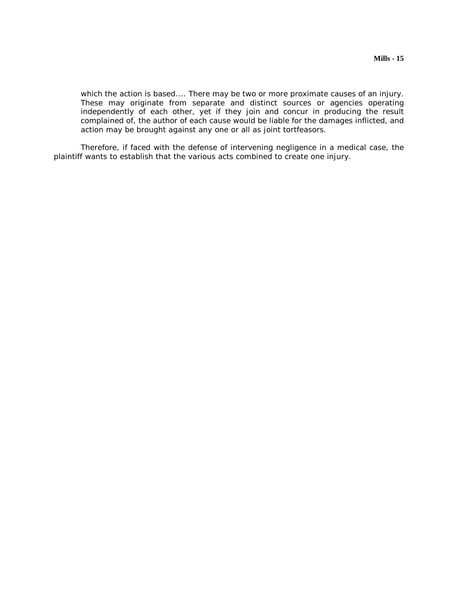which the action is based.... There may be two or more proximate causes of an injury. These may originate from separate and distinct sources or agencies operating independently of each other, yet if they join and concur in producing the result complained of, the author of each cause would be liable for the damages inflicted, and action may be brought against any one or all as joint tortfeasors.

Therefore, if faced with the defense of intervening negligence in a medical case, the plaintiff wants to establish that the various acts combined to create one injury.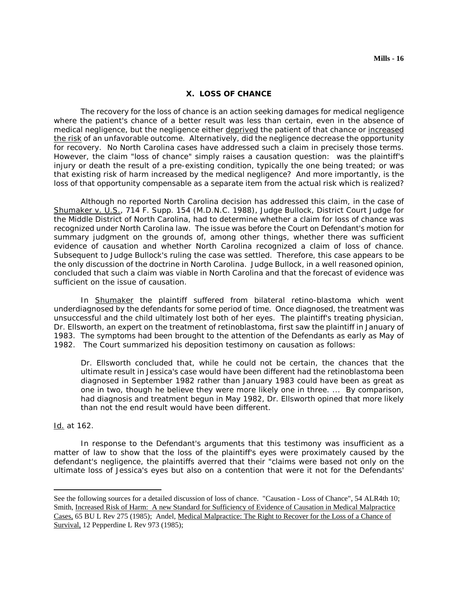#### **X. LOSS OF CHANCE**

The recovery for the loss of chance is an action seeking damages for medical negligence where the patient's chance of a better result was less than certain, even in the absence of medical negligence, but the negligence either deprived the patient of that chance or increased the risk of an unfavorable outcome. Alternatively, did the negligence decrease the opportunity for recovery. No North Carolina cases have addressed such a claim in precisely those terms. However, the claim "loss of chance" simply raises a causation question: was the plaintiff's injury or death the result of a pre-existing condition, typically the one being treated; or was that existing risk of harm increased by the medical negligence? And more importantly, is the loss of that opportunity compensable as a separate item from the actual risk which is realized?

Although no reported North Carolina decision has addressed this claim, in the case of Shumaker v. U.S., 714 F. Supp. 154 (M.D.N.C. 1988), Judge Bullock, District Court Judge for the Middle District of North Carolina, had to determine whether a claim for loss of chance was recognized under North Carolina law. The issue was before the Court on Defendant's motion for summary judgment on the grounds of, among other things, whether there was sufficient evidence of causation and whether North Carolina recognized a claim of loss of chance. Subsequent to Judge Bullock's ruling the case was settled. Therefore, this case appears to be the only discussion of the doctrine in North Carolina. Judge Bullock, in a well reasoned opinion, concluded that such a claim was viable in North Carolina and that the forecast of evidence was sufficient on the issue of causation.

In Shumaker the plaintiff suffered from bilateral retino-blastoma which went underdiagnosed by the defendants for some period of time. Once diagnosed, the treatment was unsuccessful and the child ultimately lost both of her eyes. The plaintiff's treating physician, Dr. Ellsworth, an expert on the treatment of retinoblastoma, first saw the plaintiff in January of 1983. The symptoms had been brought to the attention of the Defendants as early as May of 1982. The Court summarized his deposition testimony on causation as follows:

Dr. Ellsworth concluded that, while he could not be certain, the chances that the ultimate result in Jessica's case would have been different had the retinoblastoma been diagnosed in September 1982 rather than January 1983 could have been as great as one in two, though he believe they were more likely one in three. ... By comparison, had diagnosis and treatment begun in May 1982, Dr. Ellsworth opined that more likely than not the end result would have been different.

### Id. at 162.

 $\overline{a}$ 

In response to the Defendant's arguments that this testimony was insufficient as a matter of law to show that the loss of the plaintiff's eyes were proximately caused by the defendant's negligence, the plaintiffs averred that their "claims were based not only on the ultimate loss of Jessica's eyes but also on a contention that were it not for the Defendants'

See the following sources for a detailed discussion of loss of chance. "Causation - Loss of Chance", 54 ALR4th 10; Smith, Increased Risk of Harm: A new Standard for Sufficiency of Evidence of Causation in Medical Malpractice Cases, 65 BU L Rev 275 (1985); Andel, Medical Malpractice: The Right to Recover for the Loss of a Chance of Survival, 12 Pepperdine L Rev 973 (1985);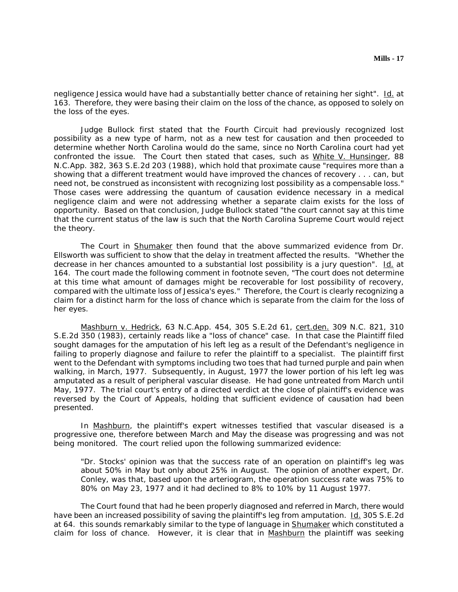negligence Jessica would have had a substantially better chance of retaining her sight". Id. at 163. Therefore, they were basing their claim on the loss of the chance, as opposed to solely on the loss of the eyes.

Judge Bullock first stated that the Fourth Circuit had previously recognized lost possibility as a new type of harm, not as a new test for causation and then proceeded to determine whether North Carolina would do the same, since no North Carolina court had yet confronted the issue. The Court then stated that cases, such as White V. Hunsinger, 88 N.C.App. 382, 363 S.E.2d 203 (1988), which hold that proximate cause "requires more than a showing that a different treatment would have improved the chances of recovery . . . can, but need not, be construed as inconsistent with recognizing lost possibility as a compensable loss." Those cases were addressing the quantum of causation evidence necessary in a medical negligence claim and were not addressing whether a separate claim exists for the loss of opportunity. Based on that conclusion, Judge Bullock stated "the court cannot say at this time that the current status of the law is such that the North Carolina Supreme Court would reject the theory.

The Court in Shumaker then found that the above summarized evidence from Dr. Ellsworth was sufficient to show that the delay in treatment affected the results. "Whether the decrease in her chances amounted to a substantial lost possibility is a jury question". Id. at 164. The court made the following comment in footnote seven, "The court does not determine at this time what amount of damages might be recoverable for lost possibility of recovery, compared with the ultimate loss of Jessica's eyes." Therefore, the Court is clearly recognizing a claim for a distinct harm for the loss of chance which is separate from the claim for the loss of her eyes.

Mashburn v. Hedrick, 63 N.C.App. 454, 305 S.E.2d 61, cert.den. 309 N.C. 821, 310 S.E.2d 350 (1983), certainly reads like a "loss of chance" case. In that case the Plaintiff filed sought damages for the amputation of his left leg as a result of the Defendant's negligence in failing to properly diagnose and failure to refer the plaintiff to a specialist. The plaintiff first went to the Defendant with symptoms including two toes that had turned purple and pain when walking, in March, 1977. Subsequently, in August, 1977 the lower portion of his left leg was amputated as a result of peripheral vascular disease. He had gone untreated from March until May, 1977. The trial court's entry of a directed verdict at the close of plaintiff's evidence was reversed by the Court of Appeals, holding that sufficient evidence of causation had been presented.

In Mashburn, the plaintiff's expert witnesses testified that vascular diseased is a progressive one, therefore between March and May the disease was progressing and was not being monitored. The court relied upon the following summarized evidence:

"Dr. Stocks' opinion was that the success rate of an operation on plaintiff's leg was about 50% in May but only about 25% in August. The opinion of another expert, Dr. Conley, was that, based upon the arteriogram, the operation success rate was 75% to 80% on May 23, 1977 and it had declined to 8% to 10% by 11 August 1977.

The Court found that had he been properly diagnosed and referred in March, there would have been an increased possibility of saving the plaintiff's leg from amputation. Id. 305 S.E.2d at 64. this sounds remarkably similar to the type of language in Shumaker which constituted a claim for loss of chance. However, it is clear that in Mashburn the plaintiff was seeking